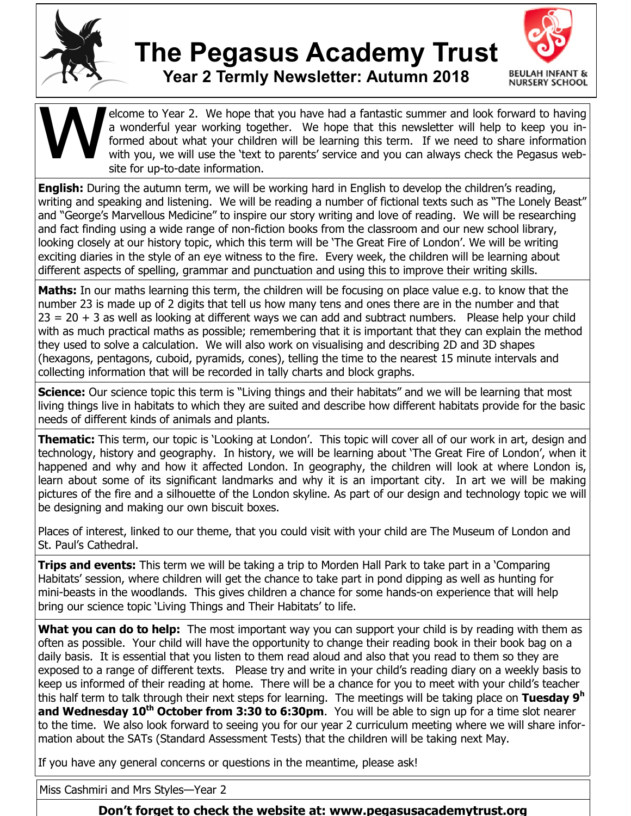

## **The Pegasus Academy Trust Year 2 Termly Newsletter: Autumn 2018**



W<br>W elcome to Year 2. We hope that you have had a fantastic summer and look forward to having a wonderful year working together. We hope that this newsletter will help to keep you informed about what your children will be learning this term. If we need to share information with you, we will use the 'text to parents' service and you can always check the Pegasus website for up-to-date information.

**English:** During the autumn term, we will be working hard in English to develop the children's reading, writing and speaking and listening. We will be reading a number of fictional texts such as "The Lonely Beast" and "George's Marvellous Medicine" to inspire our story writing and love of reading. We will be researching and fact finding using a wide range of non-fiction books from the classroom and our new school library, looking closely at our history topic, which this term will be 'The Great Fire of London'. We will be writing exciting diaries in the style of an eye witness to the fire. Every week, the children will be learning about different aspects of spelling, grammar and punctuation and using this to improve their writing skills.

**Maths:** In our maths learning this term, the children will be focusing on place value e.g. to know that the number 23 is made up of 2 digits that tell us how many tens and ones there are in the number and that  $23 = 20 + 3$  as well as looking at different ways we can add and subtract numbers. Please help your child with as much practical maths as possible; remembering that it is important that they can explain the method they used to solve a calculation. We will also work on visualising and describing 2D and 3D shapes (hexagons, pentagons, cuboid, pyramids, cones), telling the time to the nearest 15 minute intervals and collecting information that will be recorded in tally charts and block graphs.

**Science:** Our science topic this term is "Living things and their habitats" and we will be learning that most living things live in habitats to which they are suited and describe how different habitats provide for the basic needs of different kinds of animals and plants.

**Thematic:** This term, our topic is 'Looking at London'. This topic will cover all of our work in art, design and technology, history and geography. In history, we will be learning about 'The Great Fire of London', when it happened and why and how it affected London. In geography, the children will look at where London is, learn about some of its significant landmarks and why it is an important city. In art we will be making pictures of the fire and a silhouette of the London skyline. As part of our design and technology topic we will be designing and making our own biscuit boxes.

Places of interest, linked to our theme, that you could visit with your child are The Museum of London and St. Paul's Cathedral.

**Trips and events:** This term we will be taking a trip to Morden Hall Park to take part in a 'Comparing Habitats' session, where children will get the chance to take part in pond dipping as well as hunting for mini-beasts in the woodlands. This gives children a chance for some hands-on experience that will help bring our science topic 'Living Things and Their Habitats' to life.

What you can do to help: The most important way you can support your child is by reading with them as often as possible. Your child will have the opportunity to change their reading book in their book bag on a daily basis. It is essential that you listen to them read aloud and also that you read to them so they are exposed to a range of different texts. Please try and write in your child's reading diary on a weekly basis to keep us informed of their reading at home. There will be a chance for you to meet with your child's teacher this half term to talk through their next steps for learning. The meetings will be taking place on **Tuesday 9<sup>h</sup> and Wednesday 10th October from 3:30 to 6:30pm**. You will be able to sign up for a time slot nearer to the time. We also look forward to seeing you for our year 2 curriculum meeting where we will share information about the SATs (Standard Assessment Tests) that the children will be taking next May.

If you have any general concerns or questions in the meantime, please ask!

Miss Cashmiri and Mrs Styles—Year 2

**Don't forget to check the website at: www.pegasusacademytrust.org**